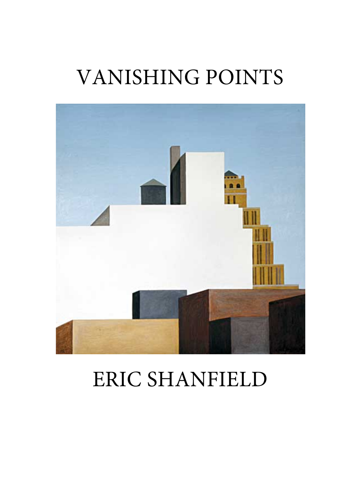

# ERIC SHANFIELD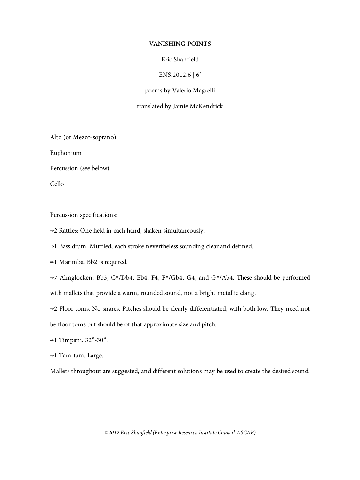#### Eric Shanfield

#### ENS.2012.6 | 6'

#### poems by Valerio Magrelli

#### translated by Jamie McKendrick

Alto (or Mezzo-soprano)

Euphonium

Percussion (see below)

Cello

Percussion specifications:

⇒2 Rattles: One held in each hand, shaken simultaneously.

⇒1 Bass drum. Muffled, each stroke nevertheless sounding clear and defined.

⇒1 Marimba. Bb2 is required.

⇒7 Almglocken: Bb3, C#/Db4, Eb4, F4, F#/Gb4, G4, and G#/Ab4. These should be performed with mallets that provide a warm, rounded sound, not a bright metallic clang.

⇒2 Floor toms. No snares. Pitches should be clearly differentiated, with both low. They need not be floor toms but should be of that approximate size and pitch.

⇒1 Timpani. 32"-30".

⇒1 Tam-tam. Large.

Mallets throughout are suggested, and different solutions may be used to create the desired sound.

*©2012 Eric Shanfield (Enterprise Research Institute Council, ASCAP)*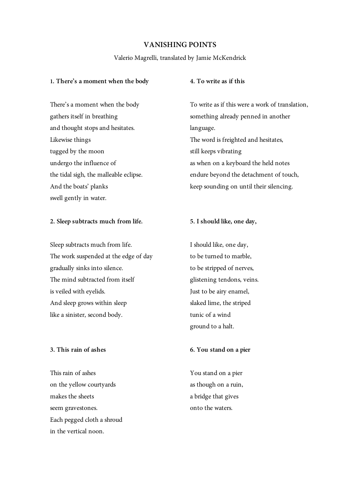#### Valerio Magrelli, translated by Jamie McKendrick

#### **1. There's a moment when the body**

#### **4. To write as if this**

There's a moment when the body gathers itself in breathing and thought stops and hesitates. Likewise things tugged by the moon undergo the influence of the tidal sigh, the malleable eclipse. And the boats' planks swell gently in water.

#### **2. Sleep subtracts much from life.**

Sleep subtracts much from life. The work suspended at the edge of day gradually sinks into silence. The mind subtracted from itself is veiled with eyelids. And sleep grows within sleep like a sinister, second body.

#### **3. This rain of ashes**

This rain of ashes on the yellow courtyards makes the sheets seem gravestones. Each pegged cloth a shroud in the vertical noon.

To write as if this were a work of translation, something already penned in another language. The word is freighted and hesitates, still keeps vibrating as when on a keyboard the held notes endure beyond the detachment of touch, keep sounding on until their silencing.

#### **5. I should like, one day,**

I should like, one day, to be turned to marble, to be stripped of nerves, glistening tendons, veins. Just to be airy enamel, slaked lime, the striped tunic of a wind ground to a halt.

#### **6. You stand on a pier**

You stand on a pier as though on a ruin, a bridge that gives onto the waters.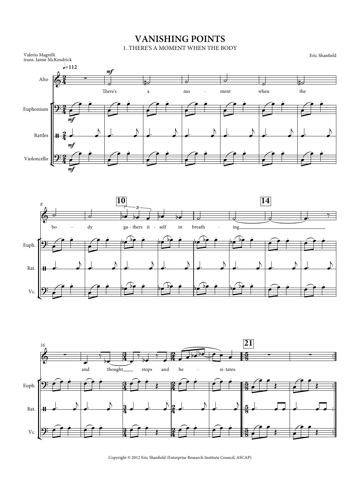1. THERE'S A MOMENT WHEN THE BODY

Eric Shanfield











Copyright © 2012 Eric Shanfield (Enterprise Research Institute Council, ASCAP)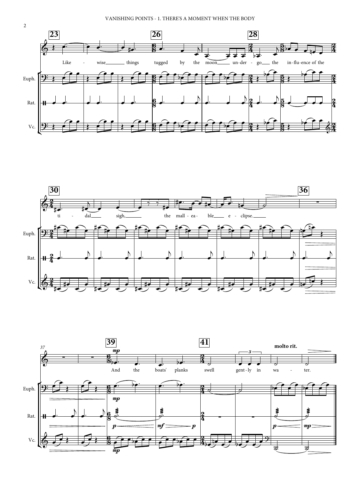



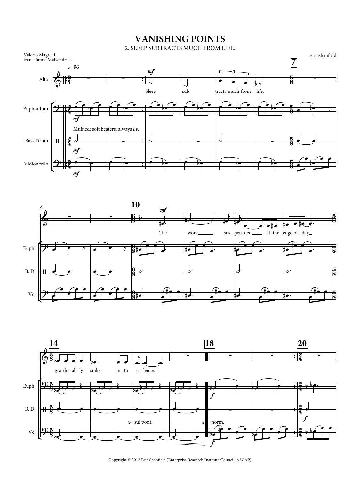2. SLEEP SUBTRACTS MUCH FROM LIFE.







Copyright © 2012 Eric Shanfield (Enterprise Research Institute Council, ASCAP)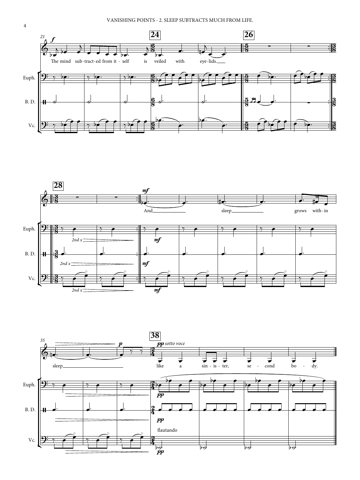





4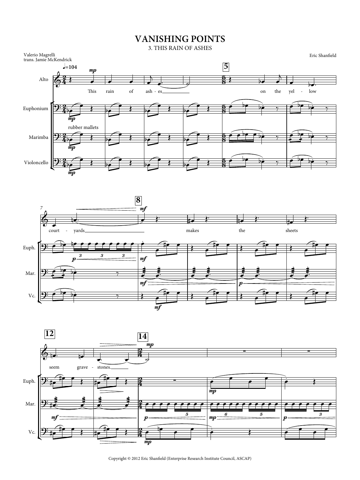3. THIS RAIN OF ASHES







Copyright © 2012 Eric Shanfield (Enterprise Research Institute Council, ASCAP)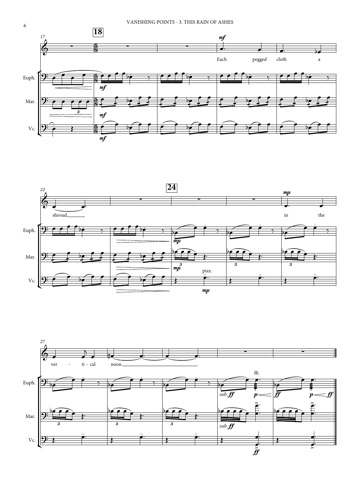



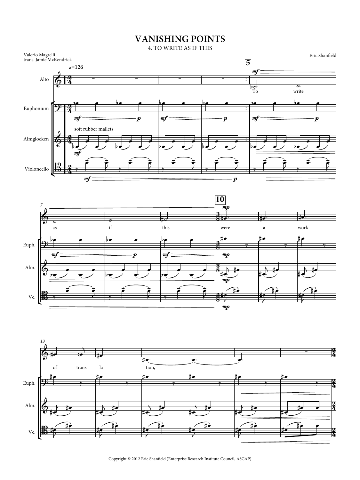4. TO WRITE AS IF THIS





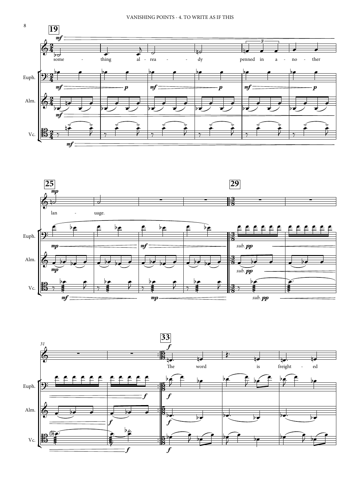



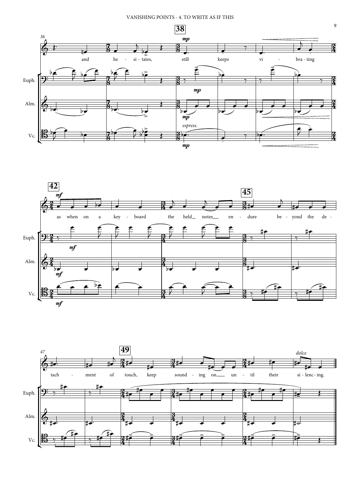#### VANISHING POINTS - 4. TO WRITE AS IF THIS





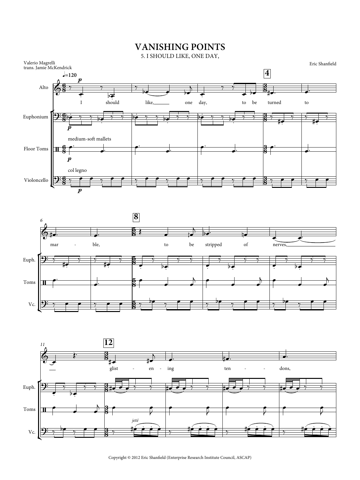5. I SHOULD LIKE, ONE DAY,





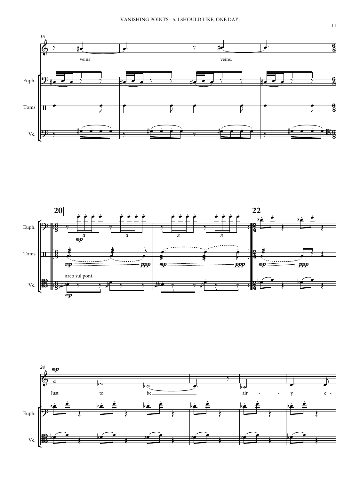



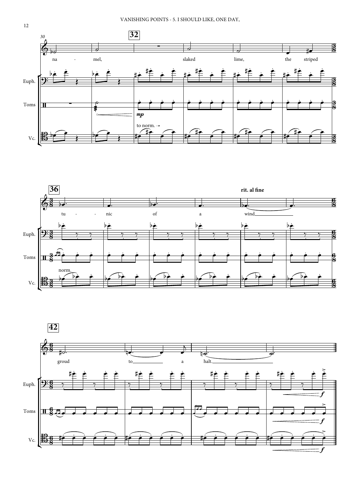





 $12\phantom{.0}$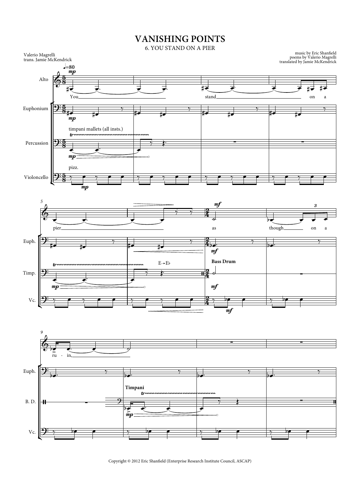6. YOU STAND ON A PIER